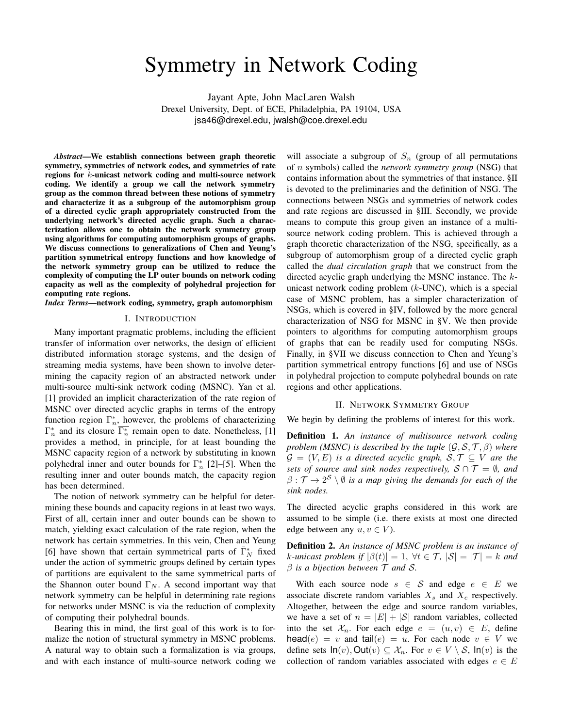# Symmetry in Network Coding

Jayant Apte, John MacLaren Walsh Drexel University, Dept. of ECE, Philadelphia, PA 19104, USA jsa46@drexel.edu, jwalsh@coe.drexel.edu

*Abstract*—We establish connections between graph theoretic symmetry, symmetries of network codes, and symmetries of rate regions for k-unicast network coding and multi-source network coding. We identify a group we call the network symmetry group as the common thread between these notions of symmetry and characterize it as a subgroup of the automorphism group of a directed cyclic graph appropriately constructed from the underlying network's directed acyclic graph. Such a characterization allows one to obtain the network symmetry group using algorithms for computing automorphism groups of graphs. We discuss connections to generalizations of Chen and Yeung's partition symmetrical entropy functions and how knowledge of the network symmetry group can be utilized to reduce the complexity of computing the LP outer bounds on network coding capacity as well as the complexity of polyhedral projection for computing rate regions.

*Index Terms*—network coding, symmetry, graph automorphism

#### I. INTRODUCTION

Many important pragmatic problems, including the efficient transfer of information over networks, the design of efficient distributed information storage systems, and the design of streaming media systems, have been shown to involve determining the capacity region of an abstracted network under multi-source multi-sink network coding (MSNC). Yan et al. [1] provided an implicit characterization of the rate region of MSNC over directed acyclic graphs in terms of the entropy function region  $\Gamma_n^*$ , however, the problems of characterizing  $\Gamma_n^*$  and its closure  $\overline{\Gamma_n^*}$  remain open to date. Nonetheless, [1] provides a method, in principle, for at least bounding the MSNC capacity region of a network by substituting in known polyhedral inner and outer bounds for  $\Gamma_n^*$  [2]–[5]. When the resulting inner and outer bounds match, the capacity region has been determined.

The notion of network symmetry can be helpful for determining these bounds and capacity regions in at least two ways. First of all, certain inner and outer bounds can be shown to match, yielding exact calculation of the rate region, when the network has certain symmetries. In this vein, Chen and Yeung [6] have shown that certain symmetrical parts of  $\bar{\Gamma}_N^*$  fixed under the action of symmetric groups defined by certain types of partitions are equivalent to the same symmetrical parts of the Shannon outer bound  $\Gamma_N$ . A second important way that network symmetry can be helpful in determining rate regions for networks under MSNC is via the reduction of complexity of computing their polyhedral bounds.

Bearing this in mind, the first goal of this work is to formalize the notion of structural symmetry in MSNC problems. A natural way to obtain such a formalization is via groups, and with each instance of multi-source network coding we will associate a subgroup of  $S_n$  (group of all permutations of n symbols) called the *network symmetry group* (NSG) that contains information about the symmetries of that instance. §II is devoted to the preliminaries and the definition of NSG. The connections between NSGs and symmetries of network codes and rate regions are discussed in §III. Secondly, we provide means to compute this group given an instance of a multisource network coding problem. This is achieved through a graph theoretic characterization of the NSG, specifically, as a subgroup of automorphism group of a directed cyclic graph called the *dual circulation graph* that we construct from the directed acyclic graph underlying the MSNC instance. The kunicast network coding problem  $(k$ -UNC), which is a special case of MSNC problem, has a simpler characterization of NSGs, which is covered in §IV, followed by the more general characterization of NSG for MSNC in §V. We then provide pointers to algorithms for computing automorphism groups of graphs that can be readily used for computing NSGs. Finally, in §VII we discuss connection to Chen and Yeung's partition symmetrical entropy functions [6] and use of NSGs in polyhedral projection to compute polyhedral bounds on rate regions and other applications.

## II. NETWORK SYMMETRY GROUP

We begin by defining the problems of interest for this work.

Definition 1. *An instance of multisource network coding problem (MSNC) is described by the tuple*  $(\mathcal{G}, \mathcal{S}, \mathcal{T}, \beta)$  *where*  $G = (V, E)$  *is a directed acyclic graph,*  $S, \mathcal{T} \subseteq V$  *are the sets of source and sink nodes respectively,*  $S \cap T = \emptyset$ *, and*  $\beta: \mathcal{T} \to 2^{\mathcal{S}} \setminus \emptyset$  *is a map giving the demands for each of the sink nodes.*

The directed acyclic graphs considered in this work are assumed to be simple (i.e. there exists at most one directed edge between any  $u, v \in V$ ).

Definition 2. *An instance of MSNC problem is an instance of k*-unicast problem if  $|\beta(t)| = 1$ ,  $\forall t \in \mathcal{T}$ ,  $|\mathcal{S}| = |\mathcal{T}| = k$  and β *is a bijection between* T *and* S*.*

With each source node  $s \in S$  and edge  $e \in E$  we associate discrete random variables  $X_s$  and  $X_e$  respectively. Altogether, between the edge and source random variables, we have a set of  $n = |E| + |\mathcal{S}|$  random variables, collected into the set  $\mathcal{X}_n$ . For each edge  $e = (u, v) \in E$ , define  $head(e) = v$  and tail $(e) = u$ . For each node  $v \in V$  we define sets  $\mathsf{In}(v)$ , Out $(v) \subseteq \mathcal{X}_n$ . For  $v \in V \setminus \mathcal{S}$ ,  $\mathsf{In}(v)$  is the collection of random variables associated with edges  $e \in E$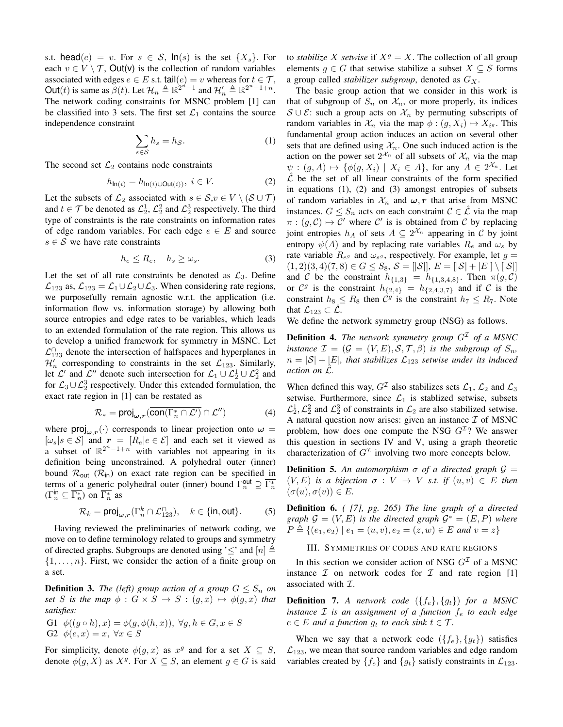s.t. head(e) = v. For  $s \in S$ ,  $ln(s)$  is the set  $\{X_s\}$ . For each  $v \in V \setminus T$ , Out(v) is the collection of random variables associated with edges  $e \in E$  s.t. tail $(e) = v$  whereas for  $t \in \mathcal{T}$ , Out(*t*) is same as  $\beta(t)$ . Let  $\mathcal{H}_n \triangleq \mathbb{R}^{2^{n}-1}$  and  $\mathcal{H}'_n \triangleq \mathbb{R}^{2^{n}-1+n}$ . The network coding constraints for MSNC problem [1] can be classified into 3 sets. The first set  $\mathcal{L}_1$  contains the source independence constraint

$$
\sum_{s \in \mathcal{S}} h_s = h_{\mathcal{S}}.\tag{1}
$$

The second set  $\mathcal{L}_2$  contains node constraints

$$
h_{\ln(i)} = h_{\ln(i) \cup Out(i))}, \ i \in V.
$$
 (2)

Let the subsets of  $\mathcal{L}_2$  associated with  $s \in \mathcal{S}, v \in V \setminus (\mathcal{S} \cup \mathcal{T})$ and  $t \in \mathcal{T}$  be denoted as  $\mathcal{L}_2^1$ ,  $\mathcal{L}_2^2$  and  $\mathcal{L}_2^3$  respectively. The third type of constraints is the rate constraints on information rates of edge random variables. For each edge  $e \in E$  and source  $s \in S$  we have rate constraints

$$
h_e \le R_e, \quad h_s \ge \omega_s. \tag{3}
$$

Let the set of all rate constraints be denoted as  $\mathcal{L}_3$ . Define  $\mathcal{L}_{123}$  as,  $\mathcal{L}_{123} = \mathcal{L}_1 \cup \mathcal{L}_2 \cup \mathcal{L}_3$ . When considering rate regions, we purposefully remain agnostic w.r.t. the application (i.e. information flow vs. information storage) by allowing both source entropies and edge rates to be variables, which leads to an extended formulation of the rate region. This allows us to develop a unified framework for symmetry in MSNC. Let  $\mathcal{L}_{123}^{\cap}$  denote the intersection of halfspaces and hyperplanes in  $\mathcal{H}'_n$  corresponding to constraints in the set  $\mathcal{L}_{123}$ . Similarly, let  $\mathcal{L}'$  and  $\mathcal{L}''$  denote such intersection for  $\mathcal{L}_1 \cup \mathcal{L}_2^1 \cup \mathcal{L}_2^2$  and for  $\mathcal{L}_3 \cup \mathcal{L}_2^3$  respectively. Under this extended formulation, the exact rate region in [1] can be restated as

$$
\mathcal{R}_* = \text{proj}_{\omega, r}(\overline{\text{con}(\Gamma_n^* \cap \mathcal{L}')} \cap \mathcal{L}'')
$$
 (4)

where  $\text{proj}_{\omega,r}(\cdot)$  corresponds to linear projection onto  $\omega =$  $[\omega_s | s \in S]$  and  $r = [R_e | e \in \mathcal{E}]$  and each set it viewed as a subset of  $\mathbb{R}^{2^n-1+n}$  with variables not appearing in its definition being unconstrained. A polyhedral outer (inner) bound  $\mathcal{R}_{out}$  ( $\mathcal{R}_{in}$ ) on exact rate region can be specified in terms of a generic polyhedral outer (inner) bound  $\Gamma_n^{\text{out}} \supseteq \overline{\Gamma_n^*}$  $(\Gamma_n^{\text{in}} \subseteq \overline{\Gamma_n^*})$  on  $\overline{\Gamma_n^*}$  as

$$
\mathcal{R}_k = \text{proj}_{\omega, r}(\Gamma_n^k \cap \mathcal{L}_{123}^{\cap}), \quad k \in \{\text{in}, \text{out}\}. \tag{5}
$$

Having reviewed the preliminaries of network coding, we move on to define terminology related to groups and symmetry of directed graphs. Subgroups are denoted using ' $\leq$ ' and  $[n] \triangleq$  $\{1, \ldots, n\}$ . First, we consider the action of a finite group on a set.

**Definition 3.** *The (left) group action of a group*  $G \leq S_n$  *on set* S *is the map*  $\phi : G \times S \rightarrow S : (g, x) \mapsto \phi(g, x)$  *that satisfies:*

G1 
$$
\phi((g \circ h), x) = \phi(g, \phi(h, x)), \forall g, h \in G, x \in S
$$
  
G2  $\phi(e, x) = x, \forall x \in S$ 

For simplicity, denote  $\phi(g, x)$  as  $x^g$  and for a set  $X \subseteq S$ , denote  $\phi(g, X)$  as  $X^g$ . For  $X \subseteq S$ , an element  $g \in G$  is said to *stabilize* X *setwise* if  $X^g = X$ . The collection of all group elements  $g \in G$  that setwise stabilize a subset  $X \subseteq S$  forms a group called *stabilizer subgroup*, denoted as  $G_X$ .

The basic group action that we consider in this work is that of subgroup of  $S_n$  on  $\mathcal{X}_n$ , or more properly, its indices  $S \cup \mathcal{E}$ : such a group acts on  $\mathcal{X}_n$  by permuting subscripts of random variables in  $\mathcal{X}_n$  via the map  $\phi$  :  $(g, X_i) \mapsto X_{i^g}$ . This fundamental group action induces an action on several other sets that are defined using  $\mathcal{X}_n$ . One such induced action is the action on the power set  $2^{\mathcal{X}_n}$  of all subsets of  $\mathcal{X}_n$  via the map  $\psi : (g, A) \mapsto {\phi(g, X_i) \mid X_i \in A}$ , for any  $A \in 2^{\mathcal{X}_n}$ . Let  $\hat{\mathcal{L}}$  be the set of all linear constraints of the form specified in equations (1), (2) and (3) amongst entropies of subsets of random variables in  $\mathcal{X}_n$  and  $\omega$ , r that arise from MSNC instances.  $G \leq S_n$  acts on each constraint  $C \in \hat{\mathcal{L}}$  via the map  $\pi : (g, C) \mapsto C'$  where C' is is obtained from C by replacing joint entropies  $h_A$  of sets  $A \subseteq 2^{\mathcal{X}_n}$  appearing in C by joint entropy  $\psi(A)$  and by replacing rate variables  $R_e$  and  $\omega_s$  by rate variable  $R_{e^g}$  and  $\omega_{s^g}$ , respectively. For example, let  $g =$  $(1, 2)(3, 4)(7, 8) \in G \leq S_8$ ,  $S = [S|, E = [S| + |E|] \setminus [S|]$ and C be the constraint  $h_{\{1,3\}} = h_{\{1,3,4,8\}}$ . Then  $\pi(g, C)$ or  $\mathcal{C}^g$  is the constraint  $h_{\{2,4\}} = h_{\{2,4,3,7\}}$  and if C is the constraint  $h_8 \leq R_8$  then  $\mathcal{C}^g$  is the constraint  $h_7 \leq R_7$ . Note that  $\mathcal{L}_{123} \subset \mathcal{L}$ .

We define the network symmetry group (NSG) as follows.

**Definition 4.** The network symmetry group  $G<sup>\mathcal{I}</sup>$  of a MSNC *instance*  $\mathcal{I} = (\mathcal{G} = (V, E), \mathcal{S}, \mathcal{T}, \beta)$  *is the subgroup of*  $S_n$ ,  $n = |\mathcal{S}| + |E|$ , that stabilizes  $\mathcal{L}_{123}$  setwise under its induced *action on*  $\mathcal{L}$ *.* 

When defined this way,  $G^{\mathcal{I}}$  also stabilizes sets  $\mathcal{L}_1$ ,  $\mathcal{L}_2$  and  $\mathcal{L}_3$ setwise. Furthermore, since  $\mathcal{L}_1$  is stablized setwise, subsets  $\mathcal{L}_2^1$ ,  $\mathcal{L}_2^2$  and  $\mathcal{L}_2^3$  of constraints in  $\mathcal{L}_2$  are also stabilized setwise. A natural question now arises: given an instance  $\mathcal I$  of MSNC problem, how does one compute the NSG  $G<sup>\mathcal{I}</sup>$ ? We answer this question in sections IV and V, using a graph theoretic characterization of  $G<sup>\mathcal{I}</sup>$  involving two more concepts below.

**Definition 5.** An automorphism  $\sigma$  of a directed graph  $\mathcal{G}$  =  $(V, E)$  *is a bijection*  $\sigma : V \to V$  *s.t. if*  $(u, v) \in E$  *then*  $(\sigma(u), \sigma(v)) \in E$ .

Definition 6. *( [7], pg. 265) The line graph of a directed graph*  $G = (V, E)$  *is the directed graph*  $G^* = (E, P)$  *where*  $P \triangleq \{(e_1, e_2) | e_1 = (u, v), e_2 = (z, w) \in E \text{ and } v = z\}$ 

III. SYMMETRIES OF CODES AND RATE REGIONS

In this section we consider action of NSG  $G<sup>\mathcal{I}</sup>$  of a MSNC instance  $I$  on network codes for  $I$  and rate region [1] associated with  $I$ .

**Definition 7.** A network code  $({f_e}, {g_t})$  for a MSNC *instance*  $I$  *is an assignment of a function*  $f_e$  *to each edge*  $e \in E$  *and a function*  $g_t$  *to each sink*  $t \in \mathcal{T}$ *.* 

When we say that a network code  $({f_e}, {g_t})$  satisfies  $\mathcal{L}_{123}$ , we mean that source random variables and edge random variables created by  $\{f_e\}$  and  $\{g_t\}$  satisfy constraints in  $\mathcal{L}_{123}$ .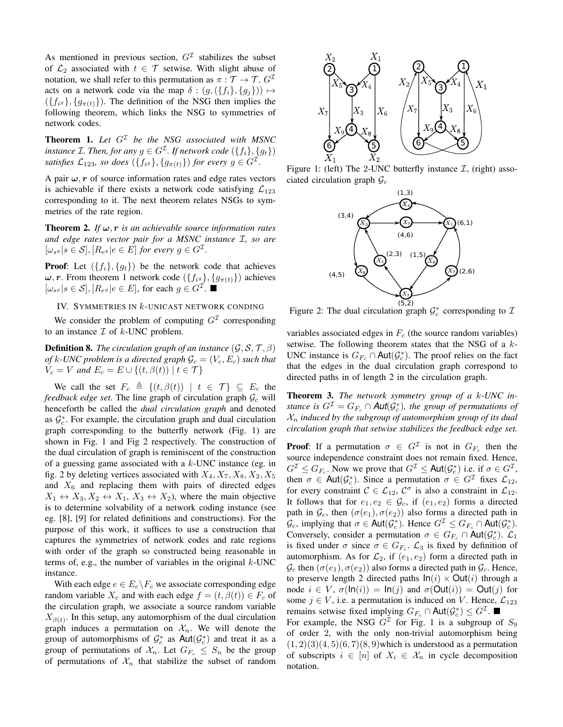As mentioned in previous section,  $G<sup>\mathcal{I}</sup>$  stabilizes the subset of  $\mathcal{L}_2$  associated with  $t \in \mathcal{T}$  setwise. With slight abuse of notation, we shall refer to this permutation as  $\pi : \mathcal{T} \to \mathcal{T}$ .  $G^{\mathcal{I}}$ acts on a network code via the map  $\delta : (g, (\{f_i\}, \{g_i\})) \mapsto$  $(\lbrace f_{i} \rbrace, \lbrace g_{\pi(t)} \rbrace)$ . The definition of the NSG then implies the following theorem, which links the NSG to symmetries of network codes.

**Theorem 1.** Let  $G^{\mathcal{I}}$  be the NSG associated with MSNC instance *I*. Then, for any  $g \in G^{\mathcal{I}}$ . If network code  $(\{f_i\}, \{g_t\})$ satisfies  $\mathcal{L}_{123}$ , so does  $(\{f_{i^g}\}, \{g_{\pi(t)}\})$  for every  $g \in G^{\mathcal{I}}$ .

A pair  $\omega$ , r of source information rates and edge rates vectors is achievable if there exists a network code satisfying  $\mathcal{L}_{123}$ corresponding to it. The next theorem relates NSGs to symmetries of the rate region.

**Theorem 2.** *If*  $\omega$ , **r** *is an achievable source information rates and edge rates vector pair for a MSNC instance* I*, so are*  $[\omega_{s} \mid s \in \mathcal{S}], [R_{e^g} \mid e \in E]$  for every  $g \in G^{\mathcal{I}}$ .

**Proof:** Let  $({f_i}, {g_t})$  be the network code that achieves  $\omega, r$ . From theorem 1 network code  $(\lbrace f_{i} \rbrace, \lbrace g_{\pi(t)} \rbrace)$  achieves  $[\omega_{s}g|s \in \mathcal{S}], [R_{e}g|e \in E],$  for each  $g \in G^{\mathcal{I}}$ .

## IV. SYMMETRIES IN k-UNICAST NETWORK CONDING

We consider the problem of computing  $G<sup>\mathcal{I}</sup>$  corresponding to an instance  $\mathcal I$  of  $k$ -UNC problem.

**Definition 8.** *The circulation graph of an instance*  $(\mathcal{G}, \mathcal{S}, \mathcal{T}, \beta)$ *of* k-UNC problem is a directed graph  $\mathcal{G}_c = (V_c, E_c)$  *such that*  $V_c = V$  and  $E_c = E \cup \{(t, \beta(t)) \mid t \in \mathcal{T}\}\$ 

We call the set  $F_c \triangleq \{(t, \beta(t)) \mid t \in \mathcal{T}\}\subseteq E_c$  the *feedback edge set*. The line graph of circulation graph  $\mathcal{G}_c$  will henceforth be called the *dual circulation graph* and denoted as  $\mathcal{G}_{c}^{*}$ . For example, the circulation graph and dual circulation graph corresponding to the butterfly network (Fig. 1) are shown in Fig. 1 and Fig 2 respectively. The construction of the dual circulation of graph is reminiscent of the construction of a guessing game associated with a  $k$ -UNC instance (eg. in fig. 2 by deleting vertices associated with  $X_4, X_7, X_8, X_2, X_5$ and  $X_6$  and replacing them with pairs of directed edges  $X_1 \leftrightarrow X_3, X_2 \leftrightarrow X_1, X_3 \leftrightarrow X_2$ , where the main objective is to determine solvability of a network coding instance (see eg. [8], [9] for related definitions and constructions). For the purpose of this work, it suffices to use a construction that captures the symmetries of network codes and rate regions with order of the graph so constructed being reasonable in terms of, e.g., the number of variables in the original  $k$ -UNC instance.

With each edge  $e \in E_c \backslash F_c$  we associate corresponding edge random variable  $X_e$  and with each edge  $f = (t, \beta(t)) \in F_c$  of the circulation graph, we associate a source random variable  $X_{\beta(t)}$ . In this setup, any automorphism of the dual circulation graph induces a permutation on  $\mathcal{X}_n$ . We will denote the group of automorphisms of  $\mathcal{G}_c^*$  as  $\text{Aut}(\mathcal{G}_c^*)$  and treat it as a group of permutations of  $\mathcal{X}_n$ . Let  $G_{F_c} \leq S_n$  be the group of permutations of  $\mathcal{X}_n$  that stabilize the subset of random



Figure 1: (left) The 2-UNC butterfly instance  $\mathcal{I}$ , (right) associated circulation graph  $\mathcal{G}_c$ 



Figure 2: The dual circulation graph  $\mathcal{G}_c^*$  corresponding to  $\mathcal{I}$ 

variables associated edges in  $F_c$  (the source random variables) setwise. The following theorem states that the NSG of a k-UNC instance is  $G_{F_c} \cap \text{Aut}(\mathcal{G}_c^*)$ . The proof relies on the fact that the edges in the dual circulation graph correspond to directed paths in of length 2 in the circulation graph.

Theorem 3. *The network symmetry group of a* k*-UNC instance is*  $G^{\mathcal{I}} = G_{F_c} \cap \text{Aut}(\mathcal{G}_c^*)$ , the group of permutations of  $X_n$  *induced by the subgroup of automorphism group of its dual circulation graph that setwise stabilizes the feedback edge set.*

**Proof:** If a permutation  $\sigma \in G^{\mathcal{I}}$  is not in  $G_{F_c}$  then the source independence constraint does not remain fixed. Hence,  $G^{\mathcal{I}} \leq G_{F_c}$ . Now we prove that  $G^{\mathcal{I}} \leq \text{Aut}(\mathcal{G}_c^*)$  i.e. if  $\sigma \in G^{\mathcal{I}}$ , then  $\sigma \in \text{Aut}(\mathcal{G}_c^*)$ . Since a permutation  $\sigma \in G^{\mathcal{I}}$  fixes  $\mathcal{L}_{12}$ , for every constraint  $C \in \mathcal{L}_{12}$ ,  $C^{\sigma}$  is also a constraint in  $\mathcal{L}_{12}$ . It follows that for  $e_1, e_2 \in \mathcal{G}_c$ , if  $(e_1, e_2)$  forms a directed path in  $\mathcal{G}_c$ , then  $(\sigma(e_1), \sigma(e_2))$  also forms a directed path in  $\mathcal{G}_c$ , implying that  $\sigma \in \text{Aut}(\mathcal{G}_c^*)$ . Hence  $G^{\mathcal{I}} \leq G_{F_c} \cap \text{Aut}(\mathcal{G}_c^*)$ . Conversely, consider a permutation  $\sigma \in G_{F_c} \cap \text{Aut}(\mathcal{G}_c^*)$ .  $\mathcal{L}_1$ is fixed under  $\sigma$  since  $\sigma \in G_{F_c}$ .  $\mathcal{L}_3$  is fixed by definition of automorphism. As for  $\mathcal{L}_2$ , if  $(e_1, e_2)$  form a directed path in  $\mathcal{G}_c$  then  $(\sigma(e_1), \sigma(e_2))$  also forms a directed path in  $\mathcal{G}_c$ . Hence, to preserve length 2 directed paths  $ln(i) \times Out(i)$  through a node  $i \in V$ ,  $\sigma(\text{In}(i)) = \text{In}(j)$  and  $\sigma(\text{Out}(i)) = \text{Out}(j)$  for some  $j \in V$ , i.e. a permutation is induced on V. Hence,  $\mathcal{L}_{123}$ remains setwise fixed implying  $G_{F_c} \cap \text{Aut}(\mathcal{G}_c^*) \leq G^{\mathcal{I}}$ .

For example, the NSG  $G<sup>\mathcal{I}</sup>$  for Fig. 1 is a subgroup of  $S_9$ of order 2, with the only non-trivial automorphism being  $(1, 2)(3)(4, 5)(6, 7)(8, 9)$  which is understood as a permutation of subscripts  $i \in [n]$  of  $X_i \in \mathcal{X}_n$  in cycle decomposition notation.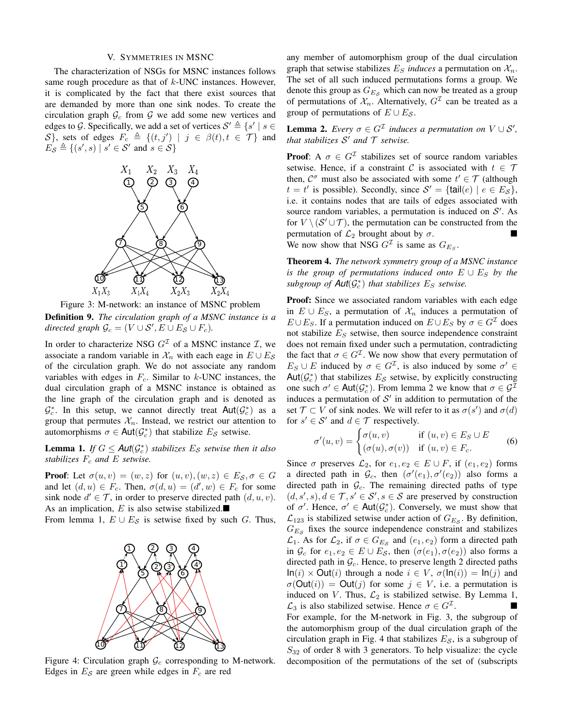#### V. SYMMETRIES IN MSNC

The characterization of NSGs for MSNC instances follows same rough procedure as that of  $k$ -UNC instances. However, it is complicated by the fact that there exist sources that are demanded by more than one sink nodes. To create the circulation graph  $\mathcal{G}_c$  from  $\mathcal{G}$  we add some new vertices and edges to G. Specifically, we add a set of vertices  $S' \triangleq \{s' \mid s \in S\}$ S}, sets of edges  $F_c \triangleq \{(t, j') | j \in \beta(t), t \in \mathcal{T}\}\)$  and  $E_{\mathcal{S}} \triangleq \{ (s', s) \mid s' \in \mathcal{S}' \text{ and } s \in \mathcal{S} \}$ 



Figure 3: M-network: an instance of MSNC problem

Definition 9. *The circulation graph of a MSNC instance is a*  $directed graph \mathcal{G}_c = (V \cup \mathcal{S}', E \cup E_{\mathcal{S}} \cup F_c).$ 

In order to characterize NSG  $G<sup>\mathcal{I}</sup>$  of a MSNC instance  $\mathcal{I}$ , we associate a random variable in  $\mathcal{X}_n$  with each eage in  $E \cup E_{\mathcal{S}}$ of the circulation graph. We do not associate any random variables with edges in  $F_c$ . Similar to  $k$ -UNC instances, the dual circulation graph of a MSNC instance is obtained as the line graph of the circulation graph and is denoted as  $\mathcal{G}_c^*$ . In this setup, we cannot directly treat Aut $(\mathcal{G}_c^*)$  as a group that permutes  $\mathcal{X}_n$ . Instead, we restrict our attention to automorphisms  $\sigma \in \text{Aut}(\mathcal{G}_c^*)$  that stabilize  $E_{\mathcal{S}}$  setwise.

**Lemma 1.** *If*  $G \leq \text{Aut}(\mathcal{G}_c^*)$  stabilizes  $E_{\mathcal{S}}$  setwise then it also *stabilizes*  $F_c$  *and*  $E$  *setwise.* 

**Proof:** Let  $\sigma(u, v) = (w, z)$  for  $(u, v), (w, z) \in E_{\mathcal{S}}, \sigma \in G$ and let  $(d, u) \in F_c$ . Then,  $\sigma(d, u) = (d', w) \in F_c$  for some sink node  $d' \in \mathcal{T}$ , in order to preserve directed path  $(d, u, v)$ . As an implication,  $E$  is also setwise stabilized.

From lemma 1,  $E \cup E_{\mathcal{S}}$  is setwise fixed by such G. Thus,



Figure 4: Circulation graph  $\mathcal{G}_c$  corresponding to M-network. Edges in  $E_{\mathcal{S}}$  are green while edges in  $F_c$  are red

any member of automorphism group of the dual circulation graph that setwise stabilizes  $E<sub>S</sub>$  *induces* a permutation on  $\mathcal{X}<sub>n</sub>$ . The set of all such induced permutations forms a group. We denote this group as  $G_{E,s}$  which can now be treated as a group of permutations of  $\mathcal{X}_n$ . Alternatively,  $G^{\mathcal{I}}$  can be treated as a group of permutations of  $E \cup E_{\mathcal{S}}$ .

**Lemma 2.** *Every*  $\sigma \in G^{\mathcal{I}}$  *induces a permutation on*  $V \cup S'$ *, that stabilizes*  $S'$  *and*  $T$  *setwise.* 

**Proof:** A  $\sigma \in G^{\mathcal{I}}$  stabilizes set of source random variables setwise. Hence, if a constraint C is associated with  $t \in \mathcal{T}$ then,  $C^{\sigma}$  must also be associated with some  $t' \in \mathcal{T}$  (although  $t = t'$  is possible). Secondly, since  $S' = {\text{tail}(e) \mid e \in E_{\mathcal{S}}},$ i.e. it contains nodes that are tails of edges associated with source random variables, a permutation is induced on  $S'$ . As for  $V \setminus (S' \cup T)$ , the permutation can be constructed from the permutation of  $\mathcal{L}_2$  brought about by  $\sigma$ . We now show that NSG  $G<sup>\mathcal{I}</sup>$  is same as  $G_{E_S}$ .

Theorem 4. *The network symmetry group of a MSNC instance is the group of permutations induced onto*  $E \cup E_S$  *by the*  $subgroup of$   $Aut(G_c^*)$  *that stabilizes*  $E_S$  *setwise.* 

Proof: Since we associated random variables with each edge in  $E \cup E_S$ , a permutation of  $\mathcal{X}_n$  induces a permutation of  $E \cup E_S$ . If a permutation induced on  $E \cup E_S$  by  $\sigma \in G<sup>T</sup>$  does not stabilize  $E<sub>S</sub>$  setwise, then source independence constraint does not remain fixed under such a permutation, contradicting the fact that  $\sigma \in G^{\mathcal{I}}$ . We now show that every permutation of  $E_S \cup E$  induced by  $\sigma \in G^{\mathcal{I}}$ , is also induced by some  $\sigma' \in$ Aut $(\mathcal{G}_c^*)$  that stabilizes  $E_{\mathcal{S}}$  setwise, by explicitly constructing one such  $\sigma' \in \text{Aut}(\mathcal{G}_c^*)$ . From lemma 2 we know that  $\sigma \in \mathcal{G}^{\mathcal{I}}$ induces a permutation of  $S'$  in addition to permutation of the set  $\mathcal{T} \subset V$  of sink nodes. We will refer to it as  $\sigma(s')$  and  $\sigma(d)$ for  $s' \in S'$  and  $d \in \mathcal{T}$  respectively.

$$
\sigma'(u,v) = \begin{cases} \sigma(u,v) & \text{if } (u,v) \in E_S \cup E \\ (\sigma(u), \sigma(v)) & \text{if } (u,v) \in F_c. \end{cases}
$$
 (6)

Since  $\sigma$  preserves  $\mathcal{L}_2$ , for  $e_1, e_2 \in E \cup F$ , if  $(e_1, e_2)$  forms a directed path in  $\mathcal{G}_c$ , then  $(\sigma'(e_1), \sigma'(e_2))$  also forms a directed path in  $\mathcal{G}_c$ . The remaining directed paths of type  $(d, s', s), d \in \mathcal{T}, s' \in \mathcal{S}', s \in \mathcal{S}$  are preserved by construction of  $\sigma'$ . Hence,  $\sigma' \in \text{Aut}(\mathcal{G}_c^*)$ . Conversely, we must show that  $\mathcal{L}_{123}$  is stabilized setwise under action of  $G_{E_{\mathcal{S}}}$ . By definition,  $G_{E,s}$  fixes the source independence constraint and stabilizes  $\mathcal{L}_1$ . As for  $\mathcal{L}_2$ , if  $\sigma \in G_{E_S}$  and  $(e_1, e_2)$  form a directed path in  $\mathcal{G}_c$  for  $e_1, e_2 \in E \cup E_{\mathcal{S}}$ , then  $(\sigma(e_1), \sigma(e_2))$  also forms a directed path in  $\mathcal{G}_c$ . Hence, to preserve length 2 directed paths  $\textsf{In}(i) \times \textsf{Out}(i)$  through a node  $i \in V$ ,  $\sigma(\textsf{In}(i)) = \textsf{In}(j)$  and  $\sigma(\text{Out}(i)) = \text{Out}(j)$  for some  $j \in V$ , i.e. a permutation is induced on V. Thus,  $\mathcal{L}_2$  is stabilized setwise. By Lemma 1,  $\mathcal{L}_3$  is also stabilized setwise. Hence  $\sigma \in G^{\mathcal{I}}$ . . For example, for the M-network in Fig. 3, the subgroup of the automorphism group of the dual circulation graph of the circulation graph in Fig. 4 that stabilizes  $E<sub>S</sub>$ , is a subgroup of  $S_{32}$  of order 8 with 3 generators. To help visualize: the cycle decomposition of the permutations of the set of (subscripts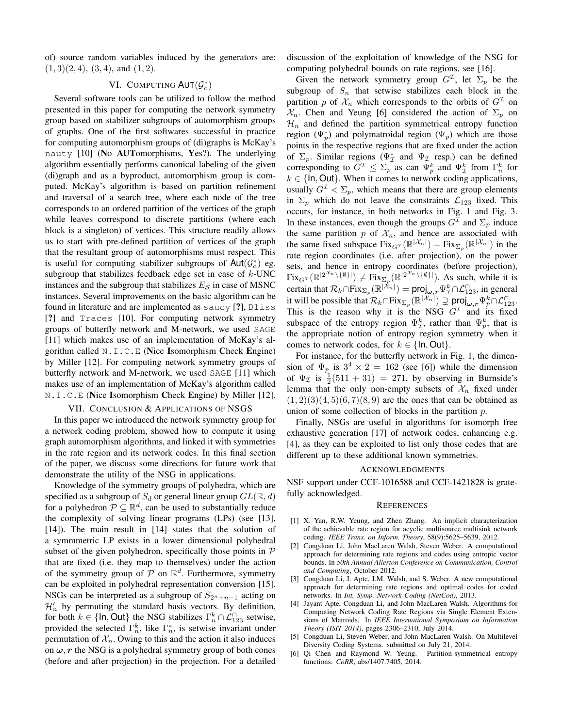of) source random variables induced by the generators are:  $(1, 3)(2, 4), (3, 4),$  and  $(1, 2)$ .

# VI. COMPUTING  $\mathsf{AUT}(\mathcal{G}_c^*)$

Several software tools can be utilized to follow the method presented in this paper for computing the network symmetry group based on stabilizer subgroups of automorphism groups of graphs. One of the first softwares successful in practice for computing automorphism groups of (di)graphs is McKay's nauty [10] (No AUTomorphisms, Yes?). The underlying algorithm essentially performs canonical labeling of the given (di)graph and as a byproduct, automorphism group is computed. McKay's algorithm is based on partition refinement and traversal of a search tree, where each node of the tree corresponds to an ordered partition of the vertices of the graph while leaves correspond to discrete partitions (where each block is a singleton) of vertices. This structure readily allows us to start with pre-defined partition of vertices of the graph that the resultant group of automorphisms must respect. This is useful for computing stabilizer subgroups of  $\textsf{Aut}(\mathcal{G}_c^*)$  eg. subgroup that stabilizes feedback edge set in case of  $k$ -UNC instances and the subgroup that stabilizes  $E<sub>S</sub>$  in case of MSNC instances. Several improvements on the basic algorithm can be found in literature and are implemented as saucy [?], Bliss [?] and Traces [10]. For computing network symmetry groups of butterfly network and M-network, we used SAGE [11] which makes use of an implementation of McKay's algorithm called N.I.C.E (Nice Isomorphism Check Engine) by Miller [12]. For computing network symmetry groups of butterfly network and M-network, we used SAGE [11] which makes use of an implementation of McKay's algorithm called N.I.C.E (Nice Isomorphism Check Engine) by Miller [12].

## VII. CONCLUSION & APPLICATIONS OF NSGS

In this paper we introduced the network symmetry group for a network coding problem, showed how to compute it using graph automorphism algorithms, and linked it with symmetries in the rate region and its network codes. In this final section of the paper, we discuss some directions for future work that demonstrate the utility of the NSG in applications.

Knowledge of the symmetry groups of polyhedra, which are specified as a subgroup of  $S_d$  or general linear group  $GL(\mathbb{R}, d)$ for a polyhedron  $P \subseteq \mathbb{R}^d$ , can be used to substantially reduce the complexity of solving linear programs (LPs) (see [13], [14]). The main result in [14] states that the solution of a symmmetric LP exists in a lower dimensional polyhedral subset of the given polyhedron, specifically those points in  $P$ that are fixed (i.e. they map to themselves) under the action of the symmetry group of  $\overline{P}$  on  $\mathbb{R}^d$ . Furthermore, symmetry can be exploited in polyhedral representation conversion [15]. NSGs can be interpreted as a subgroup of  $S_{2n+n-1}$  acting on  $\mathcal{H}'_n$  by permuting the standard basis vectors. By definition, for both  $k \in \{\text{In}, \text{Out}\}\$  the NSG stabilizes  $\Gamma_n^k \cap \mathcal{L}_{123}^{\cap}$  setwise, provided the selected  $\Gamma_n^k$ , like  $\Gamma_n^*$ , is setwise invariant under permutation of  $\mathcal{X}_n$ . Owing to this and the action it also induces on  $\omega$ , r the NSG is a polyhedral symmetry group of both cones (before and after projection) in the projection. For a detailed discussion of the exploitation of knowledge of the NSG for computing polyhedral bounds on rate regions, see [16].

Given the network symmetry group  $G^{\mathcal{I}}$ , let  $\Sigma_p$  be the subgroup of  $S_n$  that setwise stabilizes each block in the partition p of  $\mathcal{X}_n$  which corresponds to the orbits of  $G^{\mathcal{I}}$  on  $\mathcal{X}_n$ . Chen and Yeung [6] considered the action of  $\Sigma_p$  on  $\mathcal{H}_n$  and defined the partition symmetrical entropy function region  $(\Psi_p^*)$  and polymatroidal region  $(\Psi_p)$  which are those points in the respective regions that are fixed under the action of  $\Sigma_p$ . Similar regions ( $\Psi^*_{\mathcal{I}}$  and  $\Psi_{\mathcal{I}}$  resp.) can be defined corresponding to  $G^{\mathcal{I}} \leq \Sigma_p$  as can  $\Psi_p^k$  and  $\Psi_{\mathcal{I}}^k$  from  $\Gamma_n^k$  for  $k \in \{\text{In}, \text{Out}\}.$  When it comes to network coding applications, usually  $G^{\mathcal{I}} < \Sigma_p$ , which means that there are group elements in  $\Sigma_p$  which do not leave the constraints  $\mathcal{L}_{123}$  fixed. This occurs, for instance, in both networks in Fig. 1 and Fig. 3. In these instances, even though the groups  $G<sup>\mathcal{I}</sup>$  and  $\Sigma_p$  induce the same partition  $p$  of  $\mathcal{X}_n$ , and hence are associated with the same fixed subspace  $Fix_{G}(\mathbb{R}^{|\mathcal{X}_n|}) = Fix_{\Sigma_p}(\mathbb{R}^{|\mathcal{X}_n|})$  in the rate region coordinates (i.e. after projection), on the power sets, and hence in entropy coordinates (before projection),  $Fix_{G^{\mathcal{I}}}(\mathbb{R}^{|2^{\mathcal{X}_n}\setminus{\{\emptyset}\}|}) \neq Fix_{\Sigma_p}(\mathbb{R}^{|2^{\mathcal{X}_n}\setminus{\{\emptyset}\}|}).$  As such, while it is certain that  $\mathcal{R}_k \cap \text{Fix}_{\Sigma_p}(\mathbb{R}^{|\tilde{\mathcal{X}}_n|}) = \text{proj}_{\omega, r} \Psi^k_{\mathcal{I}} \cap \mathcal{L}_{123}^{\cap}$ , in general it will be possible that  $\mathcal{R}_k \cap \text{Fix}_{\Sigma_p}(\mathbb{R}^{|\mathcal{X}_n|}) \supsetneq \text{proj}_{\omega, r} \Psi_p^k \cap \mathcal{L}_{123}^{\cap}$ . This is the reason why it is the NSG  $G<sup>\mathcal{I}</sup>$  and its fixed subspace of the entropy region  $\Psi_{\mathcal{I}}^k$ , rather than  $\Psi_p^k$ , that is the appropriate notion of entropy region symmetry when it comes to network codes, for  $k \in \{\text{In}, \text{Out}\}.$ 

For instance, for the butterfly network in Fig. 1, the dimension of  $\Psi_p$  is  $3^4 \times 2 = 162$  (see [6]) while the dimension of  $\Psi_{\mathcal{I}}$  is  $\frac{1}{2}(511 + 31) = 271$ , by observing in Burnside's lemma that the only non-empty subsets of  $\mathcal{X}_n$  fixed under  $(1, 2)(3)(4, 5)(6, 7)(8, 9)$  are the ones that can be obtained as union of some collection of blocks in the partition  $p$ .

Finally, NSGs are useful in algorithms for isomorph free exhaustive generation [17] of network codes, enhancing e.g. [4], as they can be exploited to list only those codes that are different up to these additional known symmetries.

## ACKNOWLEDGMENTS

NSF support under CCF-1016588 and CCF-1421828 is gratefully acknowledged.

#### **REFERENCES**

- [1] X. Yan, R.W. Yeung, and Zhen Zhang. An implicit characterization of the achievable rate region for acyclic multisource multisink network coding. *IEEE Trans. on Inform. Theory*, 58(9):5625–5639, 2012.
- [2] Congduan Li, John MacLaren Walsh, Steven Weber. A computational approach for determining rate regions and codes using entropic vector bounds. In *50th Annual Allerton Conference on Communication, Control and Computing*, October 2012.
- [3] Congduan Li, J. Apte, J.M. Walsh, and S. Weber. A new computational approach for determining rate regions and optimal codes for coded networks. In *Int. Symp. Network Coding (NetCod)*, 2013.
- [4] Jayant Apte, Congduan Li, and John MacLaren Walsh. Algorithms for Computing Network Coding Rate Regions via Single Element Extensions of Matroids. In *IEEE International Symposium on Information Theory (ISIT 2014)*, pages 2306–2310, July 2014.
- [5] Congduan Li, Steven Weber, and John MacLaren Walsh. On Multilevel Diversity Coding Systems. submitted on July 21, 2014.
- [6] Qi Chen and Raymond W. Yeung. Partition-symmetrical entropy functions. *CoRR*, abs/1407.7405, 2014.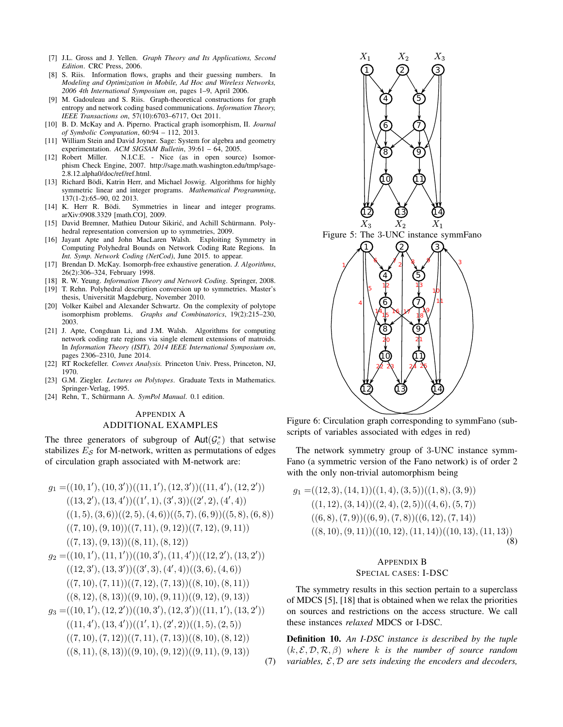- [7] J.L. Gross and J. Yellen. *Graph Theory and Its Applications, Second Edition*. CRC Press, 2006.
- [8] S. Riis. Information flows, graphs and their guessing numbers. In *Modeling and Optimization in Mobile, Ad Hoc and Wireless Networks, 2006 4th International Symposium on*, pages 1–9, April 2006.
- [9] M. Gadouleau and S. Riis. Graph-theoretical constructions for graph entropy and network coding based communications. *Information Theory, IEEE Transactions on*, 57(10):6703–6717, Oct 2011.
- [10] B. D. McKay and A. Piperno. Practical graph isomorphism, II. *Journal of Symbolic Computation*, 60:94 – 112, 2013.
- [11] William Stein and David Joyner. Sage: System for algebra and geometry experimentation. *ACM SIGSAM Bulletin*, 39:61 – 64, 2005.
- [12] Robert Miller. N.I.C.E. Nice (as in open source) Isomorphism Check Engine, 2007. http://sage.math.washington.edu/tmp/sage-2.8.12.alpha0/doc/ref/ref.html.
- [13] Richard Bödi, Katrin Herr, and Michael Joswig. Algorithms for highly symmetric linear and integer programs. *Mathematical Programming*, 137(1-2):65–90, 02 2013.<br>[14] K. Herr R. Bödi. Sy
- Symmetries in linear and integer programs. arXiv:0908.3329 [math.CO], 2009.
- [15] David Bremner, Mathieu Dutour Sikirić, and Achill Schürmann. Polyhedral representation conversion up to symmetries, 2009.
- [16] Jayant Apte and John MacLaren Walsh. Exploiting Symmetry in Computing Polyhedral Bounds on Network Coding Rate Regions. In *Int. Symp. Network Coding (NetCod)*, June 2015. to appear.
- [17] Brendan D. McKay. Isomorph-free exhaustive generation. *J. Algorithms*, 26(2):306–324, February 1998.
- [18] R. W. Yeung. *Information Theory and Network Coding*. Springer, 2008.
- [19] T. Rehn. Polyhedral description conversion up to symmetries. Master's thesis, Universität Magdeburg, November 2010.
- [20] Volker Kaibel and Alexander Schwartz. On the complexity of polytope isomorphism problems. *Graphs and Combinatorics*, 19(2):215–230, 2003.
- [21] J. Apte, Congduan Li, and J.M. Walsh. Algorithms for computing network coding rate regions via single element extensions of matroids. In *Information Theory (ISIT), 2014 IEEE International Symposium on*, pages 2306–2310, June 2014.
- [22] RT Rockefeller. *Convex Analysis.* Princeton Univ. Press, Princeton, NJ, 1970.
- [23] G.M. Ziegler. *Lectures on Polytopes*. Graduate Texts in Mathematics. Springer-Verlag, 1995.
- [24] Rehn, T., Schürmann A. *SymPol Manual*. 0.1 edition.

## APPENDIX A

## ADDITIONAL EXAMPLES

The three generators of subgroup of  $\text{Aut}(\mathcal{G}_c^*)$  that setwise stabilizes  $E_{\mathcal{S}}$  for M-network, written as permutations of edges of circulation graph associated with M-network are:

$$
g_1 = ((10, 1'), (10, 3'))((11, 1'), (12, 3'))((11, 4'), (12, 2'))((13, 2'), (13, 4'))((1', 1), (3', 3))((2', 2), (4', 4))((1, 5), (3, 6))((2, 5), (4, 6))((5, 7), (6, 9))((5, 8), (6, 8))((7, 10), (9, 10))((7, 11), (9, 12))((7, 12), (9, 11))((7, 13), (9, 13))((8, 11), (8, 12))
$$
g_2 = ((10, 1'), (11, 1'))((10, 3'), (11, 4'))((12, 2'), (13, 2'))((12, 3'), (13, 3'))((3', 3), (4', 4))((3, 6), (4, 6))((7, 10), (7, 11))((7, 12), (7, 13))((8, 10), (8, 11))((8, 12), (8, 13))((9, 10), (9, 11))((9, 12), (9, 13))
$$
g_3 = ((10, 1'), (12, 2'))((10, 3'), (12, 3'))((11, 1'), (13, 2'))((11, 4'), (13, 4'))((1', 1), (2', 2))((1, 5), (2, 5))((7, 10), (7, 12))((7, 11), (7, 13))((8, 10), (8, 12))((8, 11), (8, 13))((9, 10), (9, 12))((9, 11), (9, 13))
$$
$$
$$



Figure 6: Circulation graph corresponding to symmFano (subscripts of variables associated with edges in red)

The network symmetry group of 3-UNC instance symm-Fano (a symmetric version of the Fano network) is of order 2 with the only non-trivial automorphism being

$$
g_1 = ((12, 3), (14, 1))((1, 4), (3, 5))((1, 8), (3, 9))((1, 12), (3, 14))((2, 4), (2, 5))((4, 6), (5, 7))((6, 8), (7, 9))((6, 9), (7, 8))((6, 12), (7, 14))((8, 10), (9, 11))((10, 12), (11, 14))((10, 13), (11, 13))(8)
$$

## APPENDIX B SPECIAL CASES: I-DSC

The symmetry results in this section pertain to a superclass of MDCS [5], [18] that is obtained when we relax the priorities on sources and restrictions on the access structure. We call these instances *relaxed* MDCS or I-DSC.

(7) *variables,* E, D *are sets indexing the encoders and decoders,*Definition 10. *An I-DSC instance is described by the tuple* (k, E, D, R, β) *where* k *is the number of source random*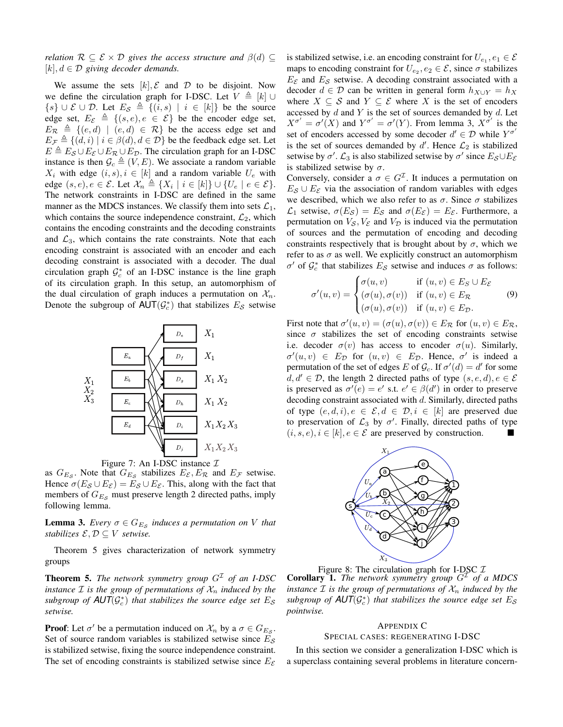*relation*  $\mathcal{R} \subseteq \mathcal{E} \times \mathcal{D}$  *gives the access structure and*  $\beta(d) \subseteq$  $[k], d \in \mathcal{D}$  giving decoder demands.

We assume the sets  $[k], \mathcal{E}$  and  $\mathcal{D}$  to be disjoint. Now we define the circulation graph for I-DSC. Let  $V \triangleq [k] \cup$  $\{s\} \cup \mathcal{E} \cup \mathcal{D}$ . Let  $E_{\mathcal{S}} \triangleq \{(i, s) | i \in [k]\}$  be the source edge set,  $E_{\mathcal{E}} \triangleq \{(s, e), e \in \mathcal{E}\}\$ be the encoder edge set,  $E_{\mathcal{R}} \triangleq \{ (e, d) \mid (e, d) \in \mathcal{R} \}$  be the access edge set and  $E_{\mathcal{F}} \triangleq \{ (d, i) \mid i \in \beta(d), d \in \mathcal{D} \}$  be the feedback edge set. Let  $E \triangleq E_{\mathcal{S}} \cup E_{\mathcal{E}} \cup E_{\mathcal{R}} \cup E_{\mathcal{D}}$ . The circulation graph for an I-DSC instance is then  $\mathcal{G}_c \triangleq (V, E)$ . We associate a random variable  $X_i$  with edge  $(i, s), i \in [k]$  and a random variable  $U_e$  with edge  $(s, e), e \in \mathcal{E}$ . Let  $\mathcal{X}_n \triangleq \{X_i \mid i \in [k]\} \cup \{U_e \mid e \in \mathcal{E}\}.$ The network constraints in I-DSC are defined in the same manner as the MDCS instances. We classify them into sets  $\mathcal{L}_1$ , which contains the source independence constraint,  $\mathcal{L}_2$ , which contains the encoding constraints and the decoding constraints and  $\mathcal{L}_3$ , which contains the rate constraints. Note that each encoding constraint is associated with an encoder and each decoding constraint is associated with a decoder. The dual circulation graph  $\mathcal{G}_c^*$  of an I-DSC instance is the line graph of its circulation graph. In this setup, an automorphism of the dual circulation of graph induces a permutation on  $\mathcal{X}_n$ . Denote the subgroup of  $\mathsf{AUT}(\mathcal{G}_c^*)$  that stabilizes  $E_{\mathcal{S}}$  setwise



Figure 7: An I-DSC instance  $\mathcal I$ 

as  $G_{E_{\mathcal{S}}}$ . Note that  $G_{E_{\mathcal{S}}}$  stabilizes  $E_{\mathcal{E}}$ ,  $E_{\mathcal{R}}$  and  $E_{\mathcal{F}}$  setwise. Hence  $\sigma(E_{\mathcal{S}} \cup E_{\mathcal{E}}) = E_{\mathcal{S}} \cup E_{\mathcal{E}}$ . This, along with the fact that members of  $G_{E,s}$  must preserve length 2 directed paths, imply following lemma.

**Lemma 3.** *Every*  $\sigma \in G_{E_{\mathcal{S}}}$  *induces a permutation on V that stabilizes*  $\mathcal{E}, \mathcal{D} \subseteq V$  *setwise.* 

Theorem 5 gives characterization of network symmetry groups

**Theorem 5.** *The network symmetry group*  $G<sup>\mathcal{I}</sup>$  *of an I-DSC instance*  $\mathcal I$  *is the group of permutations of*  $\mathcal X_n$  *induced by the* subgroup of  $\mathsf{AUT}(\mathcal{G}_c^*)$  that stabilizes the source edge set  $E_{\mathcal{S}}$ *setwise.*

**Proof:** Let  $\sigma'$  be a permutation induced on  $\mathcal{X}_n$  by a  $\sigma \in G_{E_{\mathcal{S}}}$ . Set of source random variables is stabilized setwise since  $E_{\mathcal{S}}$ is stabilized setwise, fixing the source independence constraint. The set of encoding constraints is stabilized setwise since  $E_{\mathcal{E}}$ 

is stabilized setwise, i.e. an encoding constraint for  $U_{e_1}, e_1 \in \mathcal{E}$ maps to encoding constraint for  $U_{e_2}, e_2 \in \mathcal{E}$ , since  $\sigma$  stabilizes  $E_{\mathcal{E}}$  and  $E_{\mathcal{S}}$  setwise. A decoding constraint associated with a decoder  $d \in \mathcal{D}$  can be written in general form  $h_{X\cup Y} = h_X$ where  $X \subseteq S$  and  $Y \subseteq \mathcal{E}$  where X is the set of encoders accessed by  $d$  and  $Y$  is the set of sources demanded by  $d$ . Let  $X^{\sigma'} = \sigma'(X)$  and  $Y^{\sigma'} = \sigma'(Y)$ . From lemma 3,  $X^{\sigma'}$  is the set of encoders accessed by some decoder  $d' \in \mathcal{D}$  while  $Y^{\sigma'}$ is the set of sources demanded by  $d'$ . Hence  $\mathcal{L}_2$  is stabilized setwise by  $\sigma'$ .  $\mathcal{L}_3$  is also stabilized setwise by  $\sigma'$  since  $E_{\mathcal{S}} \cup E_{\mathcal{E}}$ is stabilized setwise by  $\sigma$ .

Conversely, consider a  $\sigma \in G^{\mathcal{I}}$ . It induces a permutation on  $E_{\mathcal{S}} \cup E_{\mathcal{E}}$  via the association of random variables with edges we described, which we also refer to as  $\sigma$ . Since  $\sigma$  stabilizes  $\mathcal{L}_1$  setwise,  $\sigma(E_{\mathcal{S}}) = E_{\mathcal{S}}$  and  $\sigma(E_{\mathcal{E}}) = E_{\mathcal{E}}$ . Furthermore, a permutation on  $V_S$ ,  $V_{\mathcal{E}}$  and  $V_D$  is induced via the permutation of sources and the permutation of encoding and decoding constraints respectively that is brought about by  $\sigma$ , which we refer to as  $\sigma$  as well. We explicitly construct an automorphism σ' of  $\mathcal{G}_c^*$  that stabilizes  $E_S$  setwise and induces σ as follows:

$$
\sigma'(u,v) = \begin{cases}\n\sigma(u,v) & \text{if } (u,v) \in E_S \cup E_{\mathcal{E}} \\
(\sigma(u), \sigma(v)) & \text{if } (u,v) \in E_{\mathcal{R}} \\
(\sigma(u), \sigma(v)) & \text{if } (u,v) \in E_{\mathcal{D}}.\n\end{cases}
$$
\n(9)

First note that  $\sigma'(u, v) = (\sigma(u), \sigma(v)) \in E_{\mathcal{R}}$  for  $(u, v) \in E_{\mathcal{R}}$ , since  $\sigma$  stabilizes the set of encoding constraints setwise i.e. decoder  $\sigma(v)$  has access to encoder  $\sigma(u)$ . Similarly,  $\sigma'(u, v) \in E_{\mathcal{D}}$  for  $(u, v) \in E_{\mathcal{D}}$ . Hence,  $\sigma'$  is indeed a permutation of the set of edges E of  $\mathcal{G}_c$ . If  $\sigma'(d) = d'$  for some  $d, d' \in \mathcal{D}$ , the length 2 directed paths of type  $(s, e, d), e \in \mathcal{E}$ is preserved as  $\sigma'(e) = e'$  s.t.  $e' \in \beta(d')$  in order to preserve decoding constraint associated with  $d$ . Similarly, directed paths of type  $(e, d, i), e \in \mathcal{E}, d \in \mathcal{D}, i \in [k]$  are preserved due to preservation of  $\mathcal{L}_3$  by  $\sigma'$ . Finally, directed paths of type  $(i, s, e), i \in [k], e \in \mathcal{E}$  are preserved by construction.



Figure 8: The circulation graph for I-DSC  $I$ **Corollary 1.** The network symmetry group  $G<sup>\perp</sup>$  of a MDCS *instance*  $\mathcal I$  *is the group of permutations of*  $\mathcal X_n$  *induced by the*  $subgroup$  of  $\mathsf{AUT}(\mathcal{G}_c^*)$  that stabilizes the source edge set  $E_\mathcal{S}$ *pointwise.*

## APPENDIX C

#### SPECIAL CASES: REGENERATING I-DSC

In this section we consider a generalization I-DSC which is a superclass containing several problems in literature concern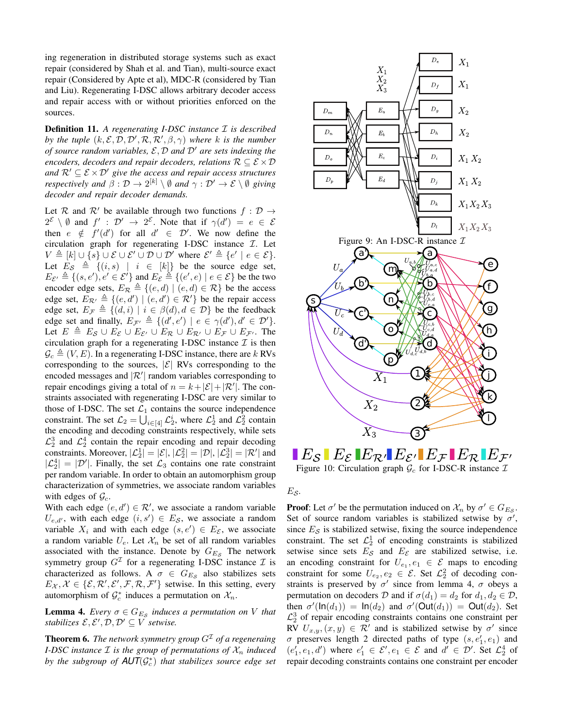ing regeneration in distributed storage systems such as exact repair (considered by Shah et al. and Tian), multi-source exact repair (Considered by Apte et al), MDC-R (considered by Tian and Liu). Regenerating I-DSC allows arbitrary decoder access and repair access with or without priorities enforced on the sources.

Definition 11. *A regenerating I-DSC instance* I *is described by the tuple*  $(k, \mathcal{E}, \mathcal{D}, \mathcal{D}', \mathcal{R}, \mathcal{R}', \beta, \gamma)$  where k is the number *of source random variables,*  $\mathcal{E}, \mathcal{D}$  *and*  $\mathcal{D}'$  *are sets indexing the encoders, decoders and repair decoders, relations*  $R \subseteq \mathcal{E} \times \mathcal{D}$ *and*  $\mathcal{R}' \subseteq \mathcal{E} \times \mathcal{D}'$  *give the access and repair access structures respectively and*  $\beta : \mathcal{D} \to 2^{[k]} \setminus \emptyset$  *and*  $\gamma : \mathcal{D}' \to \mathcal{E} \setminus \emptyset$  *giving decoder and repair decoder demands.*

Let R and R' be available through two functions  $f : \mathcal{D} \to$  $2^{\mathcal{E}} \setminus \emptyset$  and  $f' : \mathcal{D}' \to 2^{\mathcal{E}}$ . Note that if  $\gamma(d') = e \in \mathcal{E}$ then  $e \notin f'(d')$  for all  $d' \in \mathcal{D}'$ . We now define the circulation graph for regenerating I-DSC instance  $I$ . Let  $V \triangleq [k] \cup \{s\} \cup \mathcal{E} \cup \mathcal{E}' \cup \mathcal{D} \cup \mathcal{D}'$  where  $\mathcal{E}' \triangleq \{e' \mid e \in \mathcal{E}\}.$ Let  $E_{\mathcal{S}} \triangleq \{(i, s) \mid i \in [k]\}$  be the source edge set,  $E_{\mathcal{E}'} \triangleq \{(s, e'), e' \in \mathcal{E}'\}$  and  $E_{\mathcal{E}} \triangleq \{(e', e) \mid e \in \mathcal{E}\}$  be the two encoder edge sets,  $E_{\mathcal{R}} \triangleq \{(e, d) | (e, d) \in \mathcal{R}\}\$ be the access edge set,  $E_{\mathcal{R}'} \triangleq \{(e, d') | (e, d') \in \mathcal{R}'\}$  be the repair access edge set,  $E_{\mathcal{F}} \triangleq \{ (d, i) | i \in \beta(d), d \in \mathcal{D} \}$  be the feedback edge set and finally,  $E_{\mathcal{F}'} \triangleq \{ (d', e') | e \in \gamma(d'), d' \in \mathcal{D}' \}.$ Let  $E \triangleq E_{\mathcal{S}} \cup E_{\mathcal{E}} \cup E_{\mathcal{E}'} \cup E_{\mathcal{R}} \cup E_{\mathcal{R}'} \cup E_{\mathcal{F}} \cup E_{\mathcal{F}'}$ . The circulation graph for a regenerating I-DSC instance  $\mathcal I$  is then  $\mathcal{G}_c \triangleq (V, E)$ . In a regenerating I-DSC instance, there are k RVs corresponding to the sources,  $|\mathcal{E}|$  RVs corresponding to the encoded messages and  $|\mathcal{R}'|$  random variables corresponding to repair encodings giving a total of  $n = k + |\mathcal{E}| + |\mathcal{R}'|$ . The constraints associated with regenerating I-DSC are very similar to those of I-DSC. The set  $\mathcal{L}_1$  contains the source independence constraint. The set  $\mathcal{L}_2 = \bigcup_{i \in [4]} \mathcal{L}_2^i$ , where  $\mathcal{L}_2^1$  and  $\mathcal{L}_2^2$  contain the encoding and decoding constraints respectively, while sets  $\mathcal{L}_2^3$  and  $\mathcal{L}_2^4$  contain the repair encoding and repair decoding constraints. Moreover,  $|\mathcal{L}_2^1| = |\mathcal{E}|, |\mathcal{L}_2^2| = |\mathcal{D}|, |\mathcal{L}_2^3| = |\mathcal{R}'|$  and  $|\mathcal{L}_2^4| = |\mathcal{D}'|$ . Finally, the set  $\mathcal{L}_3$  contains one rate constraint per random variable. In order to obtain an automorphism group characterization of symmetries, we associate random variables with edges of  $\mathcal{G}_c$ .

With each edge  $(e, d') \in \mathcal{R}'$ , we associate a random variable  $U_{e,d'}$ , with each edge  $(i, s') \in E_{\mathcal{S}}$ , we associate a random variable  $X_i$  and with each edge  $(s, e') \in E_{\mathcal{E}}$ , we associate a random variable  $U_e$ . Let  $\mathcal{X}_n$  be set of all random variables associated with the instance. Denote by  $G_{E,s}$  The network symmetry group  $G^{\mathcal{I}}$  for a regenerating I-DSC instance  $\mathcal I$  is characterized as follows. A  $\sigma \in G_{E_{\mathcal{S}}}$  also stabilizes sets  $E_{\mathcal{X}}, \mathcal{X} \in \{ \mathcal{E}, \mathcal{R}', \mathcal{E}', \mathcal{F}, \mathcal{R}, \mathcal{F}' \}$  setwise. In this setting, every automorphism of  $\mathcal{G}_c^*$  induces a permutation on  $\mathcal{X}_n$ .

**Lemma 4.** *Every*  $\sigma \in G_{E_{\mathcal{S}}}$  *induces a permutation on V that stabilizes*  $\mathcal{E}, \mathcal{E}', \mathcal{D}, \mathcal{D}' \subseteq V$  *setwise.* 

**Theorem 6.** *The network symmetry group*  $G<sup>\mathcal{I}</sup>$  *of a regeneraing I-DSC instance*  $I$  *is the group of permutations of*  $X_n$  *induced by the subgroup of*  $\mathsf{AUT}(\mathcal{G}_c^*)$  *that stabilizes source edge set* 



Figure 10: Circulation graph  $\mathcal{G}_c$  for I-DSC-R instance  $\mathcal{I}$ 

 $E_{\mathcal{S}}$ .

**Proof:** Let  $\sigma'$  be the permutation induced on  $\mathcal{X}_n$  by  $\sigma' \in G_{E_{\mathcal{S}}}$ . Set of source random variables is stabilized setwise by  $\sigma'$ , since  $E_{\mathcal{S}}$  is stabilized setwise, fixing the source independence constraint. The set  $\mathcal{L}_2^1$  of encoding constraints is stabilized setwise since sets  $E_S$  and  $E_E$  are stabilized setwise, i.e. an encoding constraint for  $U_{e_1}, e_1 \in \mathcal{E}$  maps to encoding constraint for some  $U_{e_2}, e_2 \in \mathcal{E}$ . Set  $\mathcal{L}_2^2$  of decoding constraints is preserved by  $\sigma'$  since from lemma 4,  $\sigma$  obeys a permutation on decoders D and if  $\sigma(d_1) = d_2$  for  $d_1, d_2 \in \mathcal{D}$ , then  $\sigma'(\text{ln}(d_1)) = \text{ln}(d_2)$  and  $\sigma'(\text{Out}(d_1)) = \text{Out}(d_2)$ . Set  $\mathcal{L}_2^3$  of repair encoding constraints contains one constraint per RV  $U_{x,y}$ ,  $(x, y) \in \mathcal{R}'$  and is stabilized setwise by  $\sigma'$  since  $\sigma$  preserves length 2 directed paths of type  $(s, e'_1, e_1)$  and  $(e'_1, e_1, d')$  where  $e'_1 \in \mathcal{E}'$ ,  $e_1 \in \mathcal{E}$  and  $d' \in \mathcal{D}'$ . Set  $\mathcal{L}_2^4$  of repair decoding constraints contains one constraint per encoder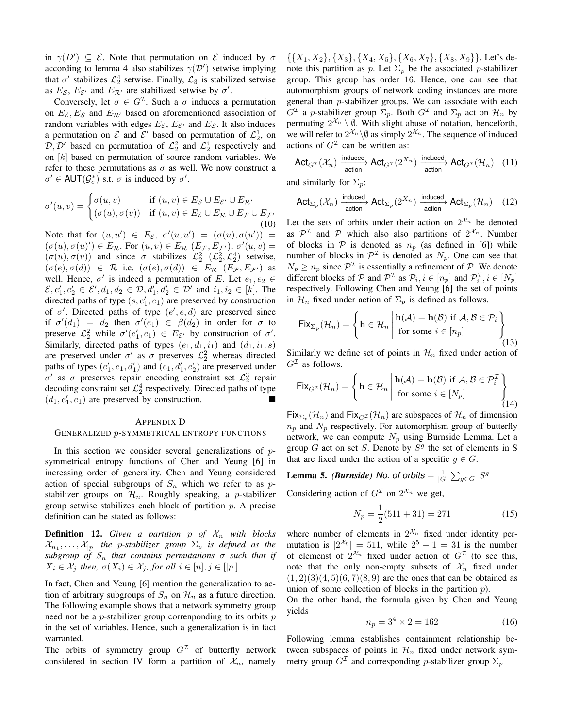in  $\gamma(D') \subseteq \mathcal{E}$ . Note that permutation on  $\mathcal{E}$  induced by  $\sigma$ according to lemma 4 also stabilizes  $\gamma(\mathcal{D}')$  setwise implying that  $\sigma'$  stabilizes  $\mathcal{L}_2^4$  setwise. Finally,  $\mathcal{L}_3$  is stabilized setwise as  $E_{\mathcal{S}}$ ,  $E_{\mathcal{E}'}$  and  $E_{\mathcal{R}'}$  are stabilized setwise by  $\sigma'$ .

Conversely, let  $\sigma \in G^{\mathcal{I}}$ . Such a  $\sigma$  induces a permutation on  $E_{\mathcal{E}}$ ,  $E_{\mathcal{S}}$  and  $E_{\mathcal{R}'}$  based on aforementioned association of random variables with edges  $E_{\mathcal{E}}$ ,  $E_{\mathcal{E}'}$  and  $E_{\mathcal{S}}$ . It also induces a permutation on  $\mathcal E$  and  $\mathcal E'$  based on permutation of  $\mathcal L_2^1$ , on  $\mathcal{D}, \mathcal{D}'$  based on permutation of  $\mathcal{L}_2^2$  and  $\mathcal{L}_2^4$  respectively and on  $[k]$  based on permutation of source random variables. We refer to these permutations as  $\sigma$  as well. We now construct a  $\sigma' \in \text{AUT}(\mathcal{G}_c^*)$  s.t.  $\sigma$  is induced by  $\sigma'$ .

$$
\sigma'(u,v) = \begin{cases} \sigma(u,v) & \text{if } (u,v) \in E_S \cup E_{\mathcal{E}'} \cup E_{\mathcal{R}'} \\ (\sigma(u), \sigma(v)) & \text{if } (u,v) \in E_{\mathcal{E}} \cup E_{\mathcal{R}} \cup E_{\mathcal{F}} \cup E_{\mathcal{F}'} \end{cases}
$$
(10)

Note that for  $(u, u') \in E_{\mathcal{E}}$ ,  $\sigma'(u, u') = (\sigma(u), \sigma(u')) =$  $(\sigma(u), \sigma(u)') \in E_{\mathcal{R}}$ . For  $(u, v) \in E_{\mathcal{R}}$   $(E_{\mathcal{F}}, E_{\mathcal{F}})$ ,  $\sigma'(u, v) =$  $(\sigma(u), \sigma(v))$  and since  $\sigma$  stabilizes  $\mathcal{L}_2^2$   $(\mathcal{L}_2^2, \mathcal{L}_2^4)$  setwise,  $(\sigma(e), \sigma(d)) \in \mathcal{R}$  i.e.  $(\sigma(e), \sigma(d)) \in E_{\mathcal{R}} (E_{\mathcal{F}}, E_{\mathcal{F}})$  as well. Hence,  $\sigma'$  is indeed a permutation of E. Let  $e_1, e_2 \in$  $\mathcal{E}, e'_1, e'_2 \in \mathcal{E}', d_1, d_2 \in \mathcal{D}, d'_1, d'_2 \in \mathcal{D}'$  and  $i_1, i_2 \in [k]$ . The directed paths of type  $(s, e'_1, e_1)$  are preserved by construction of  $\sigma'$ . Directed paths of type  $(e', e, d)$  are preserved since if  $\sigma'(d_1) = d_2$  then  $\sigma'(e_1) \in \beta(d_2)$  in order for  $\sigma$  to preserve  $\mathcal{L}_2^2$  while  $\sigma'(e'_1, e_1) \in E_{\mathcal{E}'}$  by construction of  $\sigma'$ . Similarly, directed paths of types  $(e_1, d_1, i_1)$  and  $(d_1, i_1, s)$ are preserved under  $\sigma'$  as  $\sigma$  preserves  $\mathcal{L}_2^2$  whereas directed paths of types  $(e'_1, e_1, d'_1)$  and  $(e_1, d'_1, e'_2)$  are preserved under σ' as σ preserves repair encoding constraint set  $\mathcal{L}_2^3$  repair decoding constraint set  $\mathcal{L}_2^4$  respectively. Directed paths of type  $(d_1, e'_1, e_1)$  are preserved by construction.

#### APPENDIX D

### GENERALIZED p-SYMMETRICAL ENTROPY FUNCTIONS

In this section we consider several generalizations of  $p$ symmetrical entropy functions of Chen and Yeung [6] in increasing order of generality. Chen and Yeung considered action of special subgroups of  $S_n$  which we refer to as pstabilizer groups on  $\mathcal{H}_n$ . Roughly speaking, a *p*-stabilizer group setwise stabilizes each block of partition  $p$ . A precise definition can be stated as follows:

**Definition 12.** Given a partition p of  $\mathcal{X}_n$  with blocks  $\mathcal{X}_{n_1}, \ldots, \mathcal{X}_{|p|}$  the p-stabilizer group  $\Sigma_p$  is defined as the  $subgroup$  of  $S_n$  that contains permutations  $\sigma$  such that if  $X_i \in \mathcal{X}_i$  then,  $\sigma(X_i) \in \mathcal{X}_i$ , for all  $i \in [n], j \in [|p|]$ 

In fact, Chen and Yeung [6] mention the generalization to action of arbitrary subgroups of  $S_n$  on  $\mathcal{H}_n$  as a future direction. The following example shows that a network symmetry group need not be a  $p$ -stabilizer group correnponding to its orbits  $p$ in the set of variables. Hence, such a generalization is in fact warranted.

The orbits of symmetry group  $G<sup>\mathcal{I}</sup>$  of butterfly network considered in section IV form a partition of  $\mathcal{X}_n$ , namely

 $\{\{X_1, X_2\}, \{X_3\}, \{X_4, X_5\}, \{X_6, X_7\}, \{X_8, X_9\}\}.$  Let's denote this partition as p. Let  $\Sigma_p$  be the associated p-stabilizer group. This group has order 16. Hence, one can see that automorphism groups of network coding instances are more general than p-stabilizer groups. We can associate with each  $G^{\mathcal{I}}$  a *p*-stabilizer group  $\Sigma_p$ . Both  $G^{\mathcal{I}}$  and  $\Sigma_p$  act on  $\mathcal{H}_n$  by permuting  $2^{\mathcal{X}_n} \setminus \emptyset$ . With slight abuse of notation, henceforth, we will refer to  $2^{\mathcal{X}_n} \setminus \emptyset$  as simply  $2^{\mathcal{X}_n}$ . The sequence of induced actions of  $G<sup>\mathcal{I}</sup>$  can be written as:

$$
\mathsf{Act}_{G^\mathcal{I}}(\mathcal{X}_n) \xrightarrow{\mathsf{induced}} \mathsf{Act}_{G^\mathcal{I}}(2^{X_n}) \xrightarrow{\mathsf{induced}} \mathsf{Act}_{G^\mathcal{I}}(\mathcal{H}_n) \quad (11)
$$

and similarly for  $\Sigma_p$ :

$$
\mathsf{Act}_{\Sigma_p}(\mathcal{X}_n) \xrightarrow{\mathsf{induced}} \mathsf{Act}_{\Sigma_p}(2^{X_n}) \xrightarrow{\mathsf{induced}} \mathsf{Act}_{\Sigma_p}(\mathcal{H}_n) \quad (12)
$$

Let the sets of orbits under their action on  $2^{\mathcal{X}_n}$  be denoted as  $\mathcal{P}^{\mathcal{I}}$  and  $\mathcal{P}$  which also also partitions of  $2^{\mathcal{X}_n}$ . Number of blocks in  $P$  is denoted as  $n_p$  (as defined in [6]) while number of blocks in  $\mathcal{P}^{\mathcal{I}}$  is denoted as  $N_p$ . One can see that  $N_p \ge n_p$  since  $\mathcal{P}^{\mathcal{I}}$  is essentially a refinement of  $\mathcal{P}$ . We denote different blocks of  $P$  and  $P^{\mathcal{I}}$  as  $P_i$ ,  $i \in [n_p]$  and  $P_i^{\mathcal{I}}$ ,  $i \in [N_p]$ respectively. Following Chen and Yeung [6] the set of points in  $\mathcal{H}_n$  fixed under action of  $\Sigma_p$  is defined as follows.

$$
\text{Fix}_{\Sigma_p}(\mathcal{H}_n) = \left\{ \mathbf{h} \in \mathcal{H}_n \, \middle| \, \begin{aligned} \mathbf{h}(\mathcal{A}) &= \mathbf{h}(\mathcal{B}) \text{ if } \mathcal{A}, \mathcal{B} \in \mathcal{P}_i \\ \text{for some } i \in [n_p] \end{aligned} \right\} \tag{13}
$$

Similarly we define set of points in  $\mathcal{H}_n$  fixed under action of  $G<sup>\mathcal{I}</sup>$  as follows.

$$
\text{Fix}_{G^{\mathcal{I}}}(\mathcal{H}_n) = \left\{\mathbf{h} \in \mathcal{H}_n \middle| \begin{array}{l} \mathbf{h}(\mathcal{A}) = \mathbf{h}(\mathcal{B}) \text{ if } \mathcal{A}, \mathcal{B} \in \mathcal{P}_i^{\mathcal{I}} \\ \text{for some } i \in [N_p] \end{array} \right\}
$$
(14)

 $Fix_{\Sigma_p}(\mathcal{H}_n)$  and  $Fix_{G^{\mathcal{I}}}(\mathcal{H}_n)$  are subspaces of  $\mathcal{H}_n$  of dimension  $n_p$  and  $N_p$  respectively. For automorphism group of butterfly network, we can compute  $N_p$  using Burnside Lemma. Let a group  $G$  act on set  $S$ . Denote by  $S<sup>g</sup>$  the set of elements in S that are fixed under the action of a specific  $g \in G$ .

Lemma 5. *(Burnside)* No. of orbits  $= \frac{1}{|G|} \sum_{g \in G} |S^g|$ Considering action of  $G<sup>\mathcal{I}</sup>$  on  $2^{\mathcal{X}_n}$  we get,

$$
N_p = \frac{1}{2}(511 + 31) = 271\tag{15}
$$

where number of elements in  $2^{\mathcal{X}_n}$  fixed under identity permutation is  $|2^{\mathcal{X}_9}| = 511$ , while  $2^5 - 1 = 31$  is the number of elemenst of  $2^{\mathcal{X}_n}$  fixed under action of  $G^{\mathcal{I}}$  (to see this, note that the only non-empty subsets of  $\mathcal{X}_n$  fixed under  $(1, 2)(3)(4, 5)(6, 7)(8, 9)$  are the ones that can be obtained as union of some collection of blocks in the partition  $p$ ).

On the other hand, the formula given by Chen and Yeung yields

$$
n_p = 3^4 \times 2 = 162 \tag{16}
$$

Following lemma establishes containment relationship between subspaces of points in  $\mathcal{H}_n$  fixed under network symmetry group  $G^{\mathcal{I}}$  and corresponding p-stabilizer group  $\Sigma_p$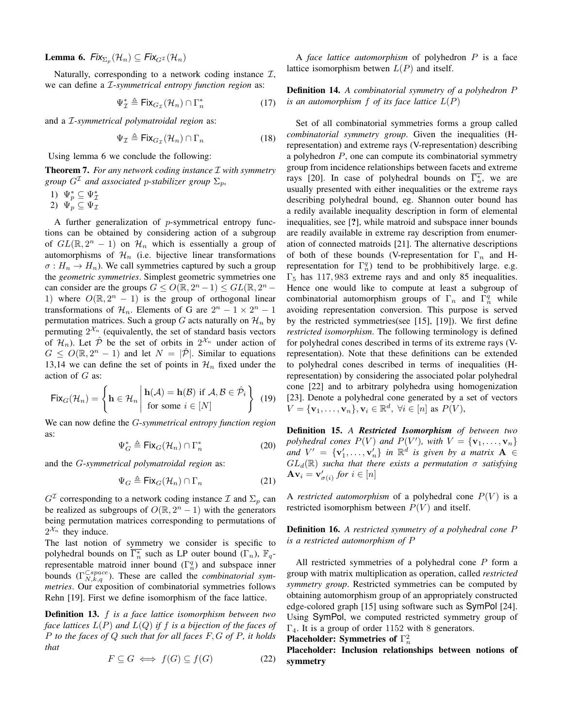**Lemma 6.**  $Fix_{\Sigma_p}(\mathcal{H}_n) \subseteq Fix_{G^{\mathcal{I}}}(\mathcal{H}_n)$ 

Naturally, corresponding to a network coding instance  $I$ , we can define a I-*symmetrical entropy function region* as:

$$
\Psi_{\mathcal{I}}^* \triangleq \text{Fix}_{G_{\mathcal{I}}}(\mathcal{H}_n) \cap \Gamma_n^* \tag{17}
$$

and a I-*symmetrical polymatroidal region* as:

$$
\Psi_{\mathcal{I}} \triangleq \text{Fix}_{G_{\mathcal{I}}}(\mathcal{H}_n) \cap \Gamma_n \tag{18}
$$

Using lemma 6 we conclude the following:

Theorem 7. *For any network coding instance* I *with symmetry group*  $G<sup>\mathcal{I}</sup>$  *and associated p-stabilizer group*  $\Sigma_p$ *,* 

- 1)  $\Psi_p^* \subseteq \Psi_{\mathcal{I}}^*$ <br>2)  $\Psi_p \subseteq \Psi_{\mathcal{I}}$
- 

A further generalization of p-symmetrical entropy functions can be obtained by considering action of a subgroup of  $GL(\mathbb{R}, 2^n - 1)$  on  $\mathcal{H}_n$  which is essentially a group of automorphisms of  $\mathcal{H}_n$  (i.e. bijective linear transformations  $\sigma: H_n \to H_n$ ). We call symmetries captured by such a group the *geometric symmetries*. Simplest geometric symmetries one can consider are the groups  $G \le O(\mathbb{R}, 2^n - 1) \le GL(\mathbb{R}, 2^n - 1)$ 1) where  $O(\mathbb{R}, 2^n - 1)$  is the group of orthogonal linear transformations of  $\mathcal{H}_n$ . Elements of G are  $2^n - 1 \times 2^n - 1$ permutation matrices. Such a group G acts naturally on  $\mathcal{H}_n$  by permuting  $2^{\mathcal{X}_n}$  (equivalently, the set of standard basis vectors of  $\mathcal{H}_n$ ). Let  $\hat{\mathcal{P}}$  be the set of orbits in  $2^{\mathcal{X}_n}$  under action of  $G \leq O(\mathbb{R}, 2^n - 1)$  and let  $N = |\mathcal{P}|$ . Similar to equations 13,14 we can define the set of points in  $\mathcal{H}_n$  fixed under the action of G as:

$$
\text{Fix}_G(\mathcal{H}_n) = \left\{ \mathbf{h} \in \mathcal{H}_n \, \middle| \, \begin{aligned} \mathbf{h}(\mathcal{A}) &= \mathbf{h}(\mathcal{B}) \text{ if } \mathcal{A}, \mathcal{B} \in \hat{\mathcal{P}}_i \\ \text{for some } i \in [N] \end{aligned} \right\} \tag{19}
$$

We can now define the G-*symmetrical entropy function region* as:

$$
\Psi_G^* \triangleq \mathsf{Fix}_G(\mathcal{H}_n) \cap \Gamma_n^* \tag{20}
$$

and the G-*symmetrical polymatroidal region* as:

$$
\Psi_G \triangleq \text{Fix}_G(\mathcal{H}_n) \cap \Gamma_n \tag{21}
$$

 $G^{\mathcal{I}}$  corresponding to a network coding instance  $\mathcal{I}$  and  $\Sigma_p$  can be realized as subgroups of  $O(\mathbb{R}, 2^n - 1)$  with the generators being permutation matrices corresponding to permutations of  $2^{\mathcal{X}_n}$  they induce.

The last notion of symmetry we consider is specific to polyhedral bounds on  $\overline{\Gamma_n^*}$  such as LP outer bound  $(\Gamma_n)$ ,  $\mathbb{F}_q$ representable matroid inner bound  $(\Gamma_n^q)$  and subspace inner bounds  $(\Gamma_{N,k,q}^{\text{Cspace}})$ . These are called the *combinatorial symmetries*. Our exposition of combinatorial symmetries follows Rehn [19]. First we define isomorphism of the face lattice.

Definition 13. f *is a face lattice isomorphism between two face lattices* L(P) *and* L(Q) *if* f *is a bijection of the faces of* P *to the faces of* Q *such that for all faces* F, G *of* P*, it holds that*

$$
F \subseteq G \iff f(G) \subseteq f(G) \tag{22}
$$

A *face lattice automorphism* of polyhedron P is a face lattice isomorphism betwen  $L(P)$  and itself.

## Definition 14. *A combinatorial symmetry of a polyhedron* P *is an automorphism*  $f$  *of its face lattice*  $L(P)$

Set of all combinatorial symmetries forms a group called *combinatorial symmetry group*. Given the inequalities (Hrepresentation) and extreme rays (V-representation) describing a polyhedron  $P$ , one can compute its combinatorial symmetry group from incidence relationships between facets and extreme rays [20]. In case of polyhedral bounds on  $\overline{\Gamma_n^*}$ , we are usually presented with either inequalities or the extreme rays describing polyhedral bound, eg. Shannon outer bound has a redily available inequality description in form of elemental inequalities, see [?], while matroid and subspace inner bounds are readily available in extreme ray description from enumeration of connected matroids [21]. The alternative descriptions of both of these bounds (V-representation for  $\Gamma_n$  and Hrepresentation for  $\Gamma_n^q$ ) tend to be probhibitively large. e.g.  $\Gamma_5$  has 117, 983 extreme rays and and only 85 inequalities. Hence one would like to compute at least a subgroup of combinatorial automorphism groups of  $\Gamma_n$  and  $\Gamma_n^q$  while avoiding representation conversion. This purpose is served by the restricted symmetries(see [15], [19]). We first define *restricted isomorphism*. The following terminology is defined for polyhedral cones described in terms of its extreme rays (Vrepresentation). Note that these definitions can be extended to polyhedral cones described in terms of inequalities (Hrepresentation) by considering the associated polar polyhedral cone [22] and to arbitrary polyhedra using homogenization [23]. Denote a polyhedral cone generated by a set of vectors  $V = {\mathbf{v}_1, \ldots, \mathbf{v}_n}$ ,  $\mathbf{v}_i \in \mathbb{R}^d$ ,  $\forall i \in [n]$  as  $P(V)$ ,

Definition 15. *A Restricted Isomorphism of between two* polyhedral cones  $P(V)$  and  $P(V')$ , with  $V = {\mathbf{v}_1, \dots, \mathbf{v}_n}$ *and*  $V' = {\mathbf{v}'_1, \ldots, \mathbf{v}'_n}$  *in*  $\mathbb{R}^d$  *is given by a matrix*  $\mathbf{A} \in$  $GL_d(\mathbb{R})$  *sucha that there exists a permutation*  $\sigma$  *satisfying*  $\mathbf{A} \mathbf{v}_i = \mathbf{v}'_{\sigma(i)}$  for  $i \in [n]$ 

A *restricted automorphism* of a polyhedral cone  $P(V)$  is a restricted isomorphism between  $P(V)$  and itself.

Definition 16. *A restricted symmetry of a polyhedral cone* P *is a restricted automorphism of* P

All restricted symmetries of a polyhedral cone P form a group with matrix multiplication as operation, called *restricted symmetry group*. Restricted symmetries can be computed by obtaining automorphism group of an appropriately constructed edge-colored graph [15] using software such as SymPol [24]. Using SymPol, we computed restricted symmetry group of  $\Gamma_4$ . It is a group of order 1152 with 8 generators.

# Placeholder: Symmetries of  $\Gamma_n^2$

Placeholder: Inclusion relationships between notions of symmetry